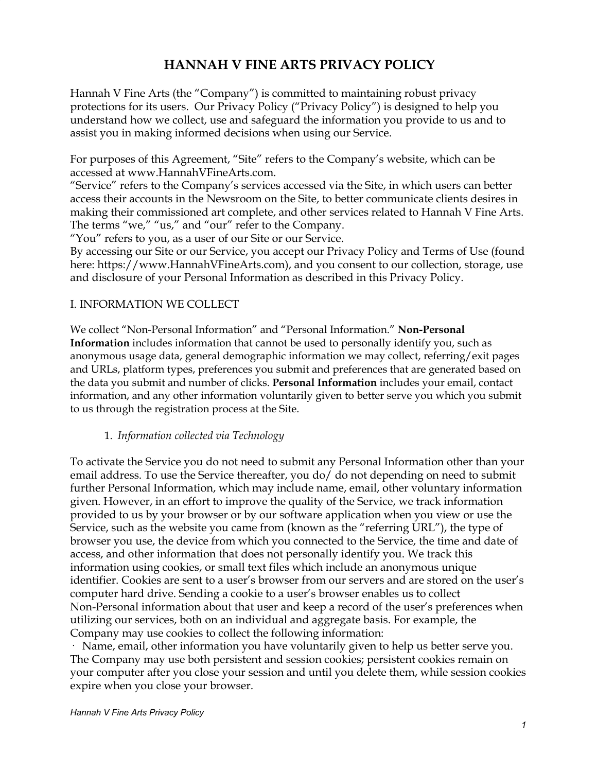# **HANNAH V FINE ARTS PRIVACY POLICY**

Hannah V Fine Arts (the "Company") is committed to maintaining robust privacy protections for its users. Our Privacy Policy ("Privacy Policy") is designed to help you understand how we collect, use and safeguard the information you provide to us and to assist you in making informed decisions when using our Service.

For purposes of this Agreement, "Site" refers to the Company's website, which can be accessed at www.HannahVFineArts.com.

"Service" refers to the Company's services accessed via the Site, in which users can better access their accounts in the Newsroom on the Site, to better communicate clients desires in making their commissioned art complete, and other services related to Hannah V Fine Arts. The terms "we," "us," and "our" refer to the Company.

"You" refers to you, as a user of our Site or our Service.

By accessing our Site or our Service, you accept our Privacy Policy and Terms of Use (found here: https://www.HannahVFineArts.com), and you consent to our collection, storage, use and disclosure of your Personal Information as described in this Privacy Policy.

#### I. INFORMATION WE COLLECT

We collect "Non-Personal Information" and "Personal Information." **Non-Personal Information** includes information that cannot be used to personally identify you, such as anonymous usage data, general demographic information we may collect, referring/exit pages and URLs, platform types, preferences you submit and preferences that are generated based on the data you submit and number of clicks. **Personal Information** includes your email, contact information, and any other information voluntarily given to better serve you which you submit to us through the registration process at the Site.

#### 1. *Information collected via Technology*

To activate the Service you do not need to submit any Personal Information other than your email address. To use the Service thereafter, you do/ do not depending on need to submit further Personal Information, which may include name, email, other voluntary information given. However, in an effort to improve the quality of the Service, we track information provided to us by your browser or by our software application when you view or use the Service, such as the website you came from (known as the "referring URL"), the type of browser you use, the device from which you connected to the Service, the time and date of access, and other information that does not personally identify you. We track this information using cookies, or small text files which include an anonymous unique identifier. Cookies are sent to a user's browser from our servers and are stored on the user's computer hard drive. Sending a cookie to a user's browser enables us to collect Non-Personal information about that user and keep a record of the user's preferences when utilizing our services, both on an individual and aggregate basis. For example, the Company may use cookies to collect the following information:

· Name, email, other information you have voluntarily given to help us better serve you. The Company may use both persistent and session cookies; persistent cookies remain on your computer after you close your session and until you delete them, while session cookies expire when you close your browser.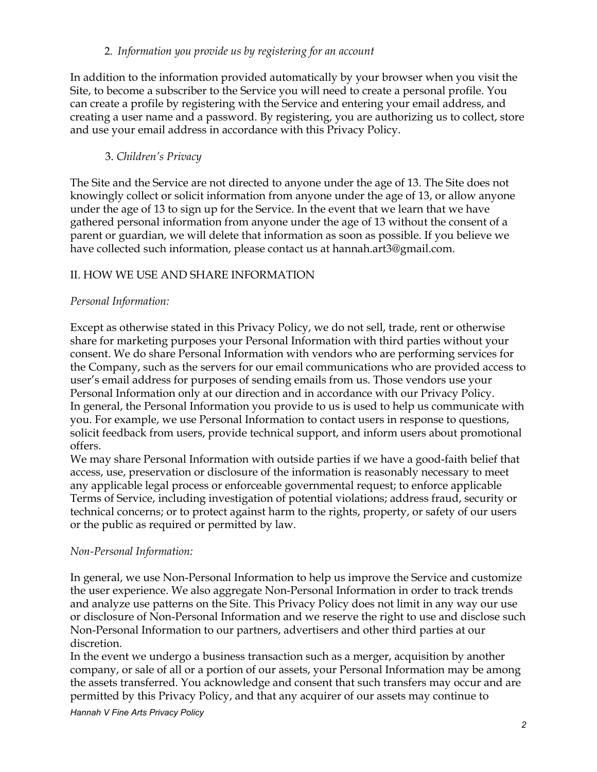#### 2. *Information you provide us by registering for an account*

In addition to the information provided automatically by your browser when you visit the Site, to become a subscriber to the Service you will need to create a personal profile. You can create a profile by registering with the Service and entering your email address, and creating a user name and a password. By registering, you are authorizing us to collect, store and use your email address in accordance with this Privacy Policy.

## 3. *Children's Privacy*

The Site and the Service are not directed to anyone under the age of 13. The Site does not knowingly collect or solicit information from anyone under the age of 13, or allow anyone under the age of 13 to sign up for the Service. In the event that we learn that we have gathered personal information from anyone under the age of 13 without the consent of a parent or guardian, we will delete that information as soon as possible. If you believe we have collected such information, please contact us at hannah.art3@gmail.com.

# II. HOW WE USE AND SHARE INFORMATION

## *Personal Information:*

Except as otherwise stated in this Privacy Policy, we do not sell, trade, rent or otherwise share for marketing purposes your Personal Information with third parties without your consent. We do share Personal Information with vendors who are performing services for the Company, such as the servers for our email communications who are provided access to user's email address for purposes of sending emails from us. Those vendors use your Personal Information only at our direction and in accordance with our Privacy Policy. In general, the Personal Information you provide to us is used to help us communicate with you. For example, we use Personal Information to contact users in response to questions, solicit feedback from users, provide technical support, and inform users about promotional offers.

We may share Personal Information with outside parties if we have a good-faith belief that access, use, preservation or disclosure of the information is reasonably necessary to meet any applicable legal process or enforceable governmental request; to enforce applicable Terms of Service, including investigation of potential violations; address fraud, security or technical concerns; or to protect against harm to the rights, property, or safety of our users or the public as required or permitted by law.

## *Non-Personal Information:*

In general, we use Non-Personal Information to help us improve the Service and customize the user experience. We also aggregate Non-Personal Information in order to track trends and analyze use patterns on the Site. This Privacy Policy does not limit in any way our use or disclosure of Non-Personal Information and we reserve the right to use and disclose such Non-Personal Information to our partners, advertisers and other third parties at our discretion.

In the event we undergo a business transaction such as a merger, acquisition by another company, or sale of all or a portion of our assets, your Personal Information may be among the assets transferred. You acknowledge and consent that such transfers may occur and are permitted by this Privacy Policy, and that any acquirer of our assets may continue to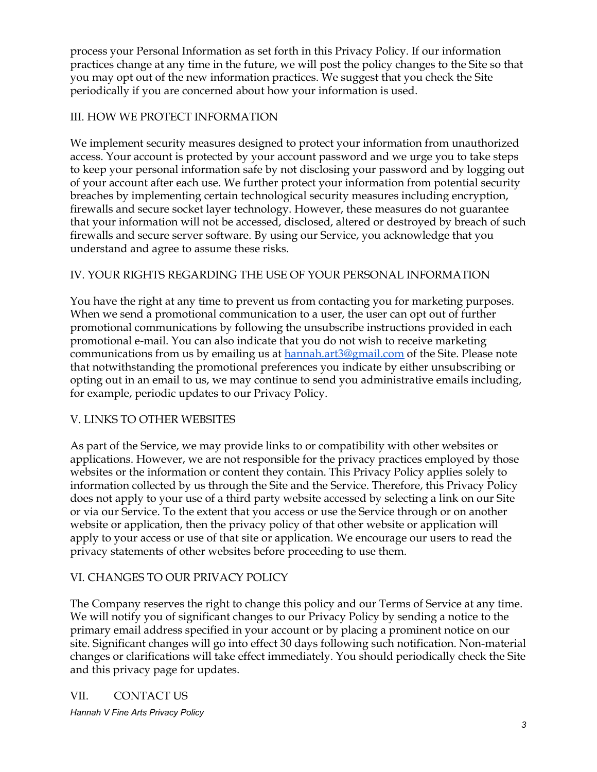process your Personal Information as set forth in this Privacy Policy. If our information practices change at any time in the future, we will post the policy changes to the Site so that you may opt out of the new information practices. We suggest that you check the Site periodically if you are concerned about how your information is used.

## III. HOW WE PROTECT INFORMATION

We implement security measures designed to protect your information from unauthorized access. Your account is protected by your account password and we urge you to take steps to keep your personal information safe by not disclosing your password and by logging out of your account after each use. We further protect your information from potential security breaches by implementing certain technological security measures including encryption, firewalls and secure socket layer technology. However, these measures do not guarantee that your information will not be accessed, disclosed, altered or destroyed by breach of such firewalls and secure server software. By using our Service, you acknowledge that you understand and agree to assume these risks.

## IV. YOUR RIGHTS REGARDING THE USE OF YOUR PERSONAL INFORMATION

You have the right at any time to prevent us from contacting you for marketing purposes. When we send a promotional communication to a user, the user can opt out of further promotional communications by following the unsubscribe instructions provided in each promotional e-mail. You can also indicate that you do not wish to receive marketing communications from us by emailing us at [hannah.art3@gmail.com](mailto:hannah.art3@gmail.com) of the Site. Please note that notwithstanding the promotional preferences you indicate by either unsubscribing or opting out in an email to us, we may continue to send you administrative emails including, for example, periodic updates to our Privacy Policy.

## V. LINKS TO OTHER WEBSITES

As part of the Service, we may provide links to or compatibility with other websites or applications. However, we are not responsible for the privacy practices employed by those websites or the information or content they contain. This Privacy Policy applies solely to information collected by us through the Site and the Service. Therefore, this Privacy Policy does not apply to your use of a third party website accessed by selecting a link on our Site or via our Service. To the extent that you access or use the Service through or on another website or application, then the privacy policy of that other website or application will apply to your access or use of that site or application. We encourage our users to read the privacy statements of other websites before proceeding to use them.

## VI. CHANGES TO OUR PRIVACY POLICY

The Company reserves the right to change this policy and our Terms of Service at any time. We will notify you of significant changes to our Privacy Policy by sending a notice to the primary email address specified in your account or by placing a prominent notice on our site. Significant changes will go into effect 30 days following such notification. Non-material changes or clarifications will take effect immediately. You should periodically check the Site and this privacy page for updates.

## VII. CONTACT US

*Hannah V Fine Arts Privacy Policy*